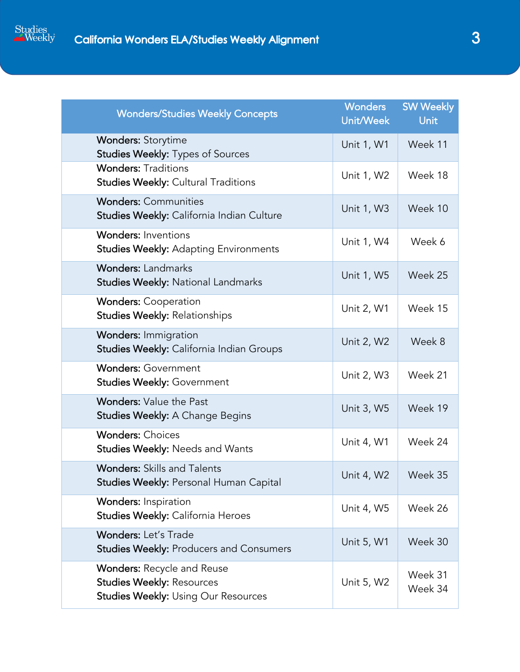

| <b>Wonders/Studies Weekly Concepts</b>                                                                              | <b>Wonders</b><br>Unit/Week | <b>SW Weekly</b><br><b>Unit</b> |
|---------------------------------------------------------------------------------------------------------------------|-----------------------------|---------------------------------|
| <b>Wonders: Storytime</b><br><b>Studies Weekly: Types of Sources</b>                                                | Unit 1, W1                  | Week 11                         |
| <b>Wonders: Traditions</b><br><b>Studies Weekly: Cultural Traditions</b>                                            | Unit 1, W2                  | Week 18                         |
| <b>Wonders: Communities</b><br>Studies Weekly: California Indian Culture                                            | Unit 1, W3                  | Week 10                         |
| <b>Wonders: Inventions</b><br><b>Studies Weekly: Adapting Environments</b>                                          | Unit 1, W4                  | Week 6                          |
| <b>Wonders: Landmarks</b><br><b>Studies Weekly: National Landmarks</b>                                              | Unit 1, W5                  | Week 25                         |
| <b>Wonders: Cooperation</b><br><b>Studies Weekly: Relationships</b>                                                 | Unit 2, W1                  | Week 15                         |
| <b>Wonders: Immigration</b><br>Studies Weekly: California Indian Groups                                             | Unit 2, W2                  | Week 8                          |
| <b>Wonders: Government</b><br><b>Studies Weekly: Government</b>                                                     | Unit 2, W3                  | Week 21                         |
| <b>Wonders: Value the Past</b><br><b>Studies Weekly: A Change Begins</b>                                            | Unit 3, W5                  | Week 19                         |
| <b>Wonders: Choices</b><br>Studies Weekly: Needs and Wants                                                          | Unit 4, W1                  | Week 24                         |
| <b>Wonders: Skills and Talents</b><br>Studies Weekly: Personal Human Capital                                        | Unit 4, W2                  | Week 35                         |
| Wonders: Inspiration<br>Studies Weekly: California Heroes                                                           | Unit 4, W5                  | Week 26                         |
| <b>Wonders: Let's Trade</b><br><b>Studies Weekly: Producers and Consumers</b>                                       | Unit 5, W1                  | Week 30                         |
| <b>Wonders: Recycle and Reuse</b><br><b>Studies Weekly: Resources</b><br><b>Studies Weekly: Using Our Resources</b> | Unit 5, W2                  | Week 31<br>Week 34              |